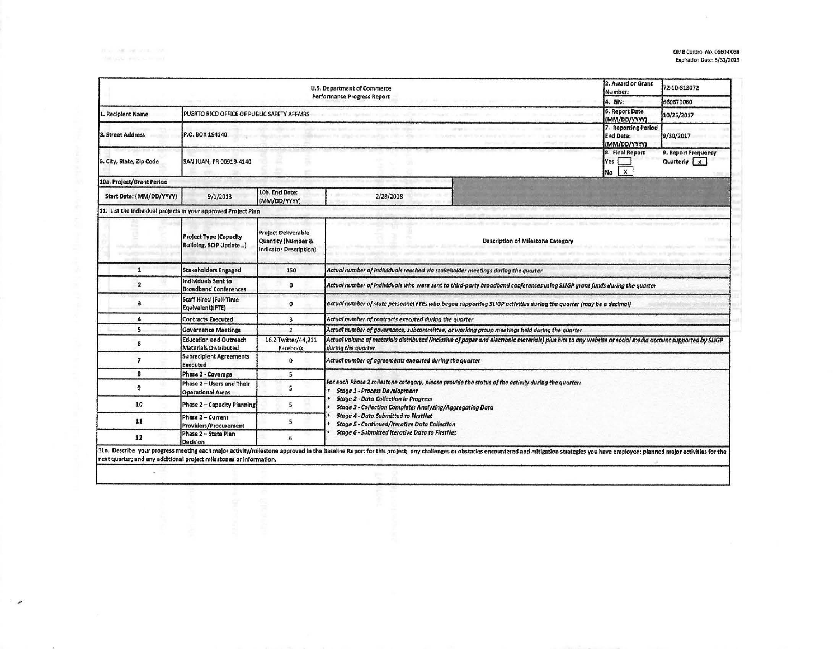$\overline{a}$ 

| U.S. Department of Commerce<br>Performance Progress Report     |                                                                |                                                                                   |                                                                                                                                                                                                                                                                                                                                                                                                                                                                                                                                                                                                                                                           |                                          |  | 72-10-S13072 |  |  |
|----------------------------------------------------------------|----------------------------------------------------------------|-----------------------------------------------------------------------------------|-----------------------------------------------------------------------------------------------------------------------------------------------------------------------------------------------------------------------------------------------------------------------------------------------------------------------------------------------------------------------------------------------------------------------------------------------------------------------------------------------------------------------------------------------------------------------------------------------------------------------------------------------------------|------------------------------------------|--|--------------|--|--|
|                                                                |                                                                |                                                                                   |                                                                                                                                                                                                                                                                                                                                                                                                                                                                                                                                                                                                                                                           |                                          |  | 660679060    |  |  |
| <b>Recipient Name</b>                                          | PUERTO RICO OFFICE OF PUBLIC SAFETY AFFAIRS                    |                                                                                   | 6. Report Date<br>(MM/DD/YYYY)                                                                                                                                                                                                                                                                                                                                                                                                                                                                                                                                                                                                                            | 10/25/2017                               |  |              |  |  |
| 3. Street Address                                              | P.O. BOX 194140                                                | 7. Reporting Period<br><b>End Date:</b><br>9/30/2017<br>(MM/DD/VYYY)              |                                                                                                                                                                                                                                                                                                                                                                                                                                                                                                                                                                                                                                                           |                                          |  |              |  |  |
| 5. City, State, Zip Code                                       | SAN JUAN, PR 00919-4140                                        | 8. Final Report<br>Yes<br>$\boldsymbol{x}$<br>No                                  | 9. Report Frequency<br>Quarterly <b>x</b>                                                                                                                                                                                                                                                                                                                                                                                                                                                                                                                                                                                                                 |                                          |  |              |  |  |
| 10a. Project/Grant Period                                      |                                                                |                                                                                   |                                                                                                                                                                                                                                                                                                                                                                                                                                                                                                                                                                                                                                                           |                                          |  |              |  |  |
| Start Date: (MM/DD/YYYY)                                       | 9/1/2013                                                       | 10b. End Date:<br>(MM/DD/YYYY)                                                    | 2/28/2018                                                                                                                                                                                                                                                                                                                                                                                                                                                                                                                                                                                                                                                 |                                          |  |              |  |  |
| 11. List the individual projects in your approved Project Plan |                                                                |                                                                                   |                                                                                                                                                                                                                                                                                                                                                                                                                                                                                                                                                                                                                                                           |                                          |  |              |  |  |
|                                                                | <b>Project Type (Capacity</b><br><b>Building, SCIP Update)</b> | <b>Project Deliverable</b><br>Quantity (Number &<br><b>Indicator Description)</b> |                                                                                                                                                                                                                                                                                                                                                                                                                                                                                                                                                                                                                                                           | <b>Description of Milestone Category</b> |  |              |  |  |
| 1                                                              | <b>Stakeholders Engaged</b>                                    | 150                                                                               | Actual number of individuals reached via stakeholder meetings during the quarter                                                                                                                                                                                                                                                                                                                                                                                                                                                                                                                                                                          |                                          |  |              |  |  |
| $\overline{\mathbf{z}}$                                        | <b>Individuals Sent to</b><br><b>Broadband Conferences</b>     | $\mathbf{0}$                                                                      | Actual number of individuals who were sent to third-party broadband conferences using SLIGP grant funds during the quarter                                                                                                                                                                                                                                                                                                                                                                                                                                                                                                                                |                                          |  |              |  |  |
| з                                                              | <b>Staff Hired (Full-Time</b><br>Equivalent)(FTE)              | $\Omega$                                                                          | Actual number of state personnel FTEs who began supporting SLIGP activities during the quarter (may be a decimal)                                                                                                                                                                                                                                                                                                                                                                                                                                                                                                                                         |                                          |  |              |  |  |
| 4                                                              | <b>Contracts Executed</b>                                      | $\overline{\mathbf{3}}$                                                           | Actual number of contracts executed during the quarter                                                                                                                                                                                                                                                                                                                                                                                                                                                                                                                                                                                                    |                                          |  |              |  |  |
| 5                                                              | <b>Governance Meetings</b>                                     | $\overline{\phantom{a}}$                                                          | Actual number of governance, subcommittee, or working group meetings held during the quarter                                                                                                                                                                                                                                                                                                                                                                                                                                                                                                                                                              |                                          |  |              |  |  |
| 6                                                              | <b>Education and Outreach</b><br><b>Materials Distributed</b>  | 16.2 Twitter/44,211<br>Facebook                                                   | Actual volume of materials distributed (inclusive of paper and electronic materials) plus hits to any website or social media account supported by SLIGP<br>during the quarter                                                                                                                                                                                                                                                                                                                                                                                                                                                                            |                                          |  |              |  |  |
| $\overline{ }$                                                 | <b>Subrecipient Agreements</b><br><b>Executed</b>              | $\mathbf{o}$                                                                      | Actual number of agreements executed during the quarter                                                                                                                                                                                                                                                                                                                                                                                                                                                                                                                                                                                                   |                                          |  |              |  |  |
| 8                                                              | Phase 2 - Coverage                                             | 5                                                                                 |                                                                                                                                                                                                                                                                                                                                                                                                                                                                                                                                                                                                                                                           |                                          |  |              |  |  |
| 9                                                              | Phase 2 - Users and Their<br><b>Operational Areas</b>          | 5                                                                                 | For each Phase 2 milestone category, please provide the status of the activity during the quarter:<br><b>Stage 1 - Process Development</b><br><b>Stage 2 - Data Collection in Progress</b><br>Stage 3 - Collection Complete; Analyzing/Aggregating Data<br><b>Stage 4 - Data Submitted to FirstNet</b><br><b>Stage 5 - Continued/iterative Data Collection</b><br><b>Stage 6 - Submitted Iterative Data to FirstNet</b><br>11a. Describe your progress meeting each major activity/milestone approved in the Baseline Report for this project; any challenges or obstacles encountered and mitigation strategies you have employed; planned major activit |                                          |  |              |  |  |
| 10                                                             | <b>Phase 2 - Capacity Planning</b>                             | 5                                                                                 |                                                                                                                                                                                                                                                                                                                                                                                                                                                                                                                                                                                                                                                           |                                          |  |              |  |  |
| 11                                                             | Phase 2 - Current<br>Providers/Procurement                     | 5                                                                                 |                                                                                                                                                                                                                                                                                                                                                                                                                                                                                                                                                                                                                                                           |                                          |  |              |  |  |
| 12                                                             | Phase 2 - State Plan<br><b>Decision</b>                        | 6                                                                                 |                                                                                                                                                                                                                                                                                                                                                                                                                                                                                                                                                                                                                                                           |                                          |  |              |  |  |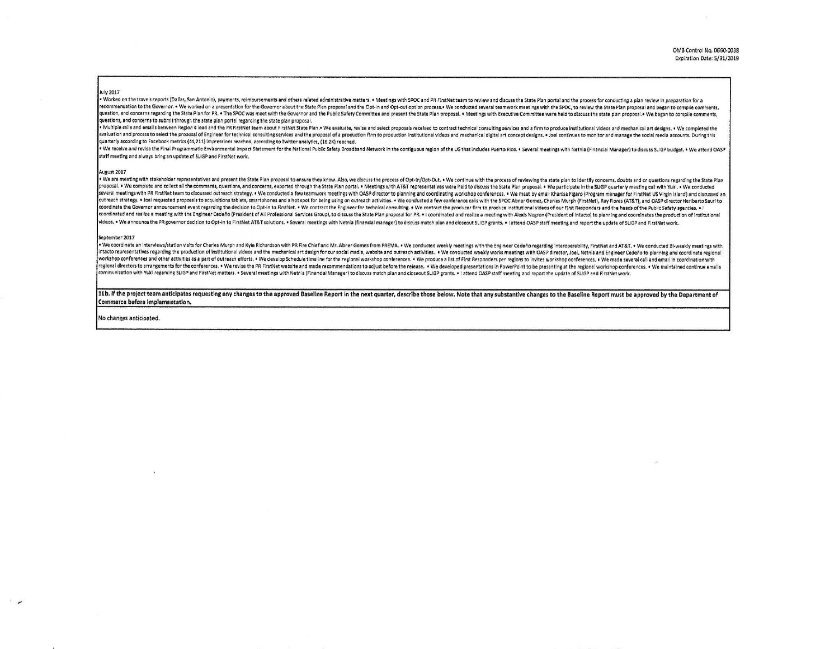## July 2017

. Worked on the travels reports (Dallas, San Antonio), payments, reimbursements and others related administrative matters. . Meetings with SPOC and PR FirstNet team to review and discuss the State Plan portal and the proce recommendation to the Governor. . We worked on a presentation for the Governor about the State Plan proposal and the Opt-in and Opt-out option process. . We conducted several teamwork meetings with the SPOC, to review the question, and concerns regarding the State Plan for PR. . The SPOC was meet with the Governor and the Public Safety Committee and present the State Plan proposal. . Meetings with Executive Committee were held to discuss th questions, and concerns to submit through the state plan portal regarding the state plan proposal.

. Multiple calls and emails between Region 4 lead and the PR FirstNet team about FirstNet State Plan. . We evaluate, revise and select proposals received to contract technical consulting services and a firm to produce inst evaluation and process to select the proposal of Engineer for technical consulting services and the proposal of a production firm to production institutional videos and mechanical digital art concept designs. . Joel contin quarterly according to Facebook metrics (44,211) impressions reached, according to Twitter analytics, (16,2K) reached.

. We receive and revise the Final Programmatic Environmental impact Statement for the National Public Safety Broadband Network in the contiguous region of the US that includes Puerto Rico. . Several meetings with Netnia (F staff meeting and always bring an update of SLIGP and FirstNet work.

## August 2017

. We are meeting with stakeholder representatives and present the State Plan proposal to ensure they know. Also, we discuss the process of Opt-in/Opt-Out. . We continue with the process of reviewing the state plan to ident proposal. . We complete and collect all the comments, questions, and concerns, exported through the State Plan portal. . Meetings with AT&T representatives were held to discuss the State Plan proposal. . We participate in several meetings with PR FirstNet team to discussed outreach strategy. . We conducted a few teamwork meetings with OASP director to planning and coordinating workshop conferences. . We meet by email Khanisa Figaro (Program outreach strategy. . Joel requested proposals to acquisitions tablets, smartphones and a hot spot for being using on outreach activities. . We conducted a few conference calls with the SPOC Abner Gomez, Charles Murph (Firs coordinate the Governor announcement event regarding the decision to Opt-in to FirstNet. . We contract the Engineer for technical consulting. . We contract the producer firm to produce institutional videos of our First Res coordinated and realize a meeting with the Engineer Cedeño (President of All Professional Services Group), to discuss the State Plan proposal for PR. . I coordinated and realize a meeting with Alexis Negron (President of I videos. . We announce the PR governor decision to Opt-in to FirstNet AT&T solutions. . Several meetings with Netnia (financial manager) to discuss match plan and closeout SLIGP grants. . I attend OASP staff meeting and rep

## September 2017

. We coordinate an interviews/station visits for Charles Murph and Kyie Richardson with PR Fire Chief and Mr. Abner Gomes from PREMA, . We conducted weekly meetings with the Engineer CedeRo regarding interoperability. Firs ntacto representatives regarding the production of institutional videos and the mechanical art design for our social media, website and outreach activities. . . We conducted weekly works meetings with OASP director, Joel, workshop conferences and other activities as a part of outreach efforts. . We develop Schedule timeline for the regional workshop conferences. . We produce a list of First Responders per regions to invites workshop confere regional directors to arrangements for the conferences. . We revise the PR FirstNet website and made recommendations to adjust before the release. . We developed presentations in PowerPoint to be presenting at the regional ommunication with Yuki regarding SLIGP and FirstNet matters. . Several meetings with Netnia (Financial Manager) to discuss match plan and closeout SLIGP grants. . 1 attend QASP staff meeting and report the update of SLIGP

11b. If the project team anticipates requesting any changes to the approved Baseline Report in the next quarter, describe those below. Note that any substantive changes to the Baseline Report must be approved by the Depart Commerce before implementation.

No changes anticipated.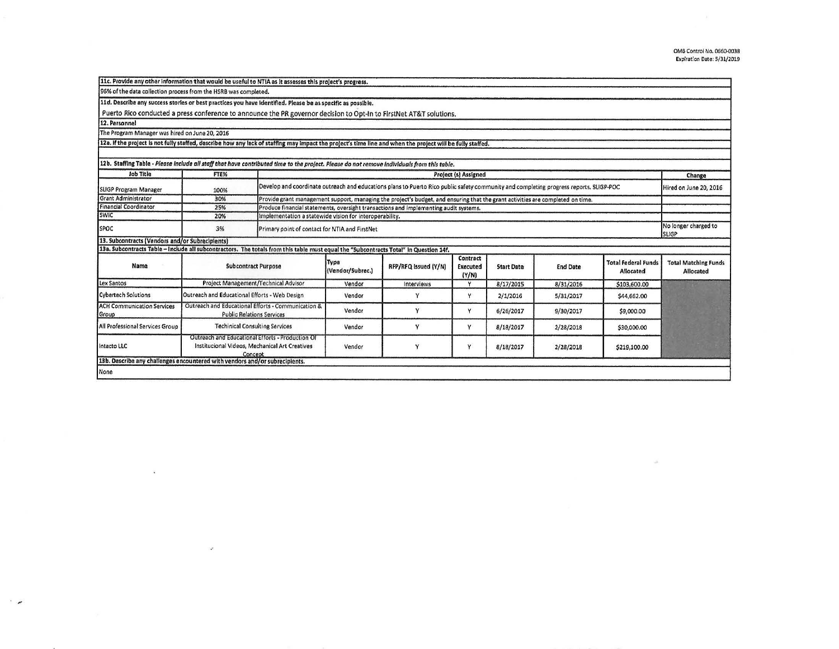|                                                                                                                                                            |                                                                                                               | 11c. Provide any other information that would be useful to NTIA as it assesses this project's progress.                                |                          |                      |                               |                   |                 |                                         |                                          |
|------------------------------------------------------------------------------------------------------------------------------------------------------------|---------------------------------------------------------------------------------------------------------------|----------------------------------------------------------------------------------------------------------------------------------------|--------------------------|----------------------|-------------------------------|-------------------|-----------------|-----------------------------------------|------------------------------------------|
| 96% of the data collection process from the HSRB was completed.                                                                                            |                                                                                                               |                                                                                                                                        |                          |                      |                               |                   |                 |                                         |                                          |
| 11d. Describe any success stories or best practices you have identified. Please be as specific as possible.                                                |                                                                                                               |                                                                                                                                        |                          |                      |                               |                   |                 |                                         |                                          |
| Puerto Rico conducted a press conference to announce the PR governor decision to Opt-In to FirstNet AT&T solutions.                                        |                                                                                                               |                                                                                                                                        |                          |                      |                               |                   |                 |                                         |                                          |
| 12. Personnel                                                                                                                                              |                                                                                                               |                                                                                                                                        |                          |                      |                               |                   |                 |                                         |                                          |
| The Program Manager was hired on June 20, 2016                                                                                                             |                                                                                                               |                                                                                                                                        |                          |                      |                               |                   |                 |                                         |                                          |
| 12a. If the project is not fully staffed, describe how any lack of staffing may impact the project's time line and when the project will be fully staffed. |                                                                                                               |                                                                                                                                        |                          |                      |                               |                   |                 |                                         |                                          |
|                                                                                                                                                            |                                                                                                               |                                                                                                                                        |                          |                      |                               |                   |                 |                                         |                                          |
| 12b. Staffing Table - Please include all staff that have contributed time to the project. Please do not remove individuals from this table.                |                                                                                                               |                                                                                                                                        |                          |                      |                               |                   |                 |                                         |                                          |
| Job Title                                                                                                                                                  | FTE%                                                                                                          | Project (s) Assigned                                                                                                                   |                          |                      |                               |                   |                 |                                         |                                          |
| <b>SLIGP Program Manager</b>                                                                                                                               | 100%                                                                                                          | Develop and coordinate outreach and educations plans to Puerto Rico public safety community and completing progress reports, SLIGP-POC | Hired on June 20, 2016   |                      |                               |                   |                 |                                         |                                          |
| Grant Administrator                                                                                                                                        | 30%                                                                                                           | Provide grant management support, managing the project's budget, and ensuring that the grant activities are completed on time.         |                          |                      |                               |                   |                 |                                         |                                          |
| <b>Financial Coordinator</b>                                                                                                                               | 25%                                                                                                           | Produce financial statements, oversight transactions and implementing audit systems.                                                   |                          |                      |                               |                   |                 |                                         |                                          |
| <b>SWIC</b>                                                                                                                                                | 20%                                                                                                           | Implementation a statewide vision for interoperability.                                                                                |                          |                      |                               |                   |                 |                                         |                                          |
| SPOC                                                                                                                                                       | 3%                                                                                                            | Primary point of contact for NTIA and FirstNet                                                                                         |                          |                      |                               |                   |                 |                                         | No longer charged to<br><b>SLIGP</b>     |
| 13. Subcontracts (Vendors and/or Subrecipients)                                                                                                            |                                                                                                               |                                                                                                                                        |                          |                      |                               |                   |                 |                                         |                                          |
| 13a. Subcontracts Table - Include all subcontractors. The totals from this table must equal the "Subcontracts Total" in Question 14f.                      |                                                                                                               |                                                                                                                                        |                          |                      |                               |                   |                 |                                         |                                          |
| Name                                                                                                                                                       | <b>Subcontract Purpose</b>                                                                                    |                                                                                                                                        | Type<br>(Vendor/Subrec.) | RFP/RFQ Issued (Y/N) | Contract<br>Executed<br>(Y/N) | <b>Start Date</b> | <b>End Date</b> | <b>Total Federal Funds</b><br>Allocated | <b>Total Matching Funds</b><br>Allocated |
| Lex Santos                                                                                                                                                 | Project Management/Technical Advisor                                                                          |                                                                                                                                        | Vendor                   | Interviews           |                               | 8/17/2015         | 8/31/2016       | \$103.600.00                            |                                          |
| <b>Cybertech Solutions</b>                                                                                                                                 | Outreach and Educational Efforts - Web Design                                                                 |                                                                                                                                        | Vendor                   | γ                    | Y                             | 2/1/2016          | 5/31/2017       | \$44,662.00                             |                                          |
| <b>ACH Communication Services</b><br>Group                                                                                                                 | Outreach and Educational Efforts - Communication &<br><b>Public Relations Services</b>                        |                                                                                                                                        | Vendor                   | v                    | Y                             | 6/26/2017         | 9/30/2017       | \$9,000.00                              |                                          |
| All Professional Services Group                                                                                                                            | <b>Techinical Consulting Services</b>                                                                         |                                                                                                                                        | Vendor                   | Y                    | Y                             | 8/18/2017         | 2/28/2018       | \$30,000.00                             |                                          |
| Intacto LLC                                                                                                                                                | Outreach and Educational Efforts - Production Of<br>Institucional Videos, Mechanical Art Creatives<br>Concept |                                                                                                                                        | Vendor                   | ٧                    | Y                             | 8/18/2017         | 2/28/2018       | \$219,100.00                            |                                          |
| 13b. Describe any challenges encountered with vendors and/or subrecipients.                                                                                |                                                                                                               |                                                                                                                                        |                          |                      |                               |                   |                 |                                         |                                          |
| None                                                                                                                                                       |                                                                                                               |                                                                                                                                        |                          |                      |                               |                   |                 |                                         |                                          |

 $\chi$ 

 $\ddot{\phantom{a}}$ 

 $\omega$ 

GG.